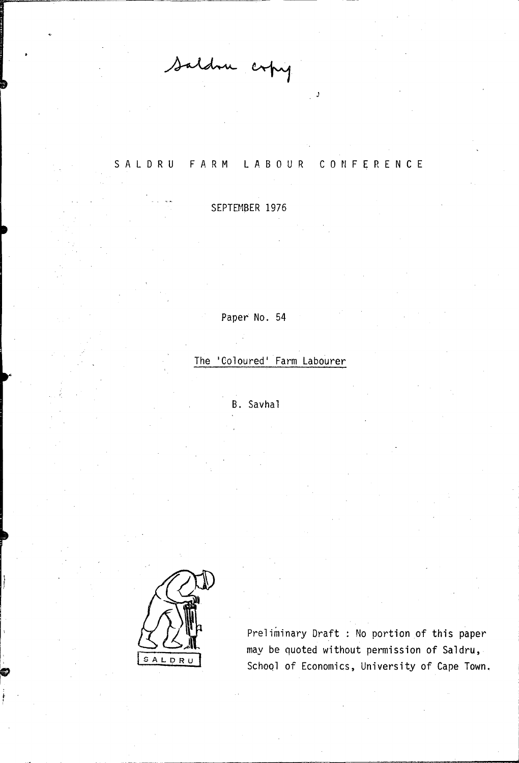Saldru copy

## SAL DRU FARM LABOUR CONFERENCE

J

SEPTEMBER 1976

Paper No. 54

The 'Coloured' Farm Labourer

B. Savhal



 $\mathbb{R}^2$ 

I r' r"

Preliminary Draft : No portion of this paper may be quoted without permission of Saldru, Schoql of Economics, University of Cape Town.

,ad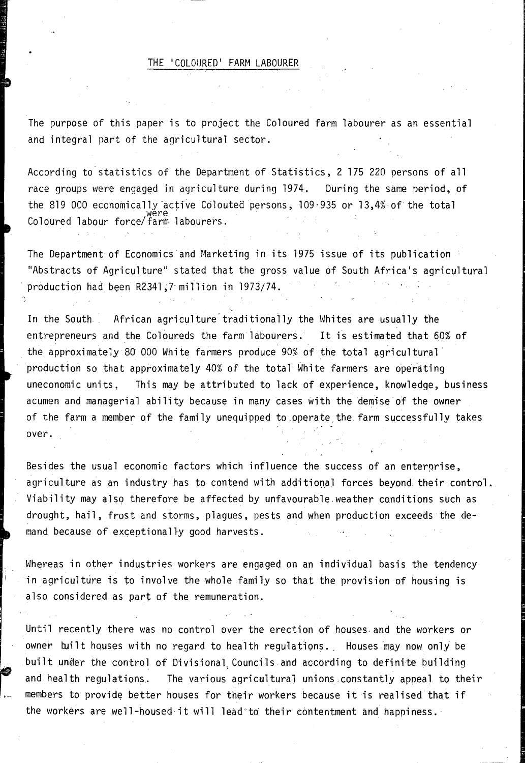## THE 'COLOURED' FARM LABOURER

The purpose of this paper is to project the Coloured farm labourer as an essential and integral part of the agricultural sector.

According to statistics of the Department of Statistics, 2 175 220 persons of all race groups were engaged in agriculture during 1974. During the same period, of the 819 000 economically active Colouted persons,  $109-935$  or 13,4% of the total Coloured labour force/farm labourers.

The Department of Economics"and Marketing in its 1975 issue of its publication "Abstracts of A9riculture" stated that the gross value of South Africa's agricultural production had been R2341,7 million in 1973/74.

In the South African agriculture traditionally the Whites are usually the entrepreneurs and the Coloureds the farm labourers. It is estimated that 60% of the approximately 80 000 White farmers produce 90% of the total agricultural production so that approximately 40% of the total White farmers are operating uneconomic units, This may be attributed to lack of experience, knowledge, business acumen and managerial ability because in many cases with the demise of the owner of the farm a member of the family unequipped to operate. the farm successfully takes over.

Besides the usual economic factors which influence the success of an enterprise, agriculture as an industry has to contend with additional forces beyond their control. Viability may also therefore be affected by unfavourable weather conditions such as drought, hail, frost and storms, plagues, pests and when production exceeds the demand because of exceptionally good harvests.

Whereas in other industries workers are engaged on an individual basis the tendency in agriculture is to involve the whole family so that the provision of housing is also considered as part of the remuneration.

Until recently there was no control over the erection of houses. and the workers or owner built houses with no regard to health regulations. Houses may now only be built under the control of Divisional Councils and according to definite building and health regulations. The various agricultural unions constantly apneal to their members to provide better houses for their workers because it is realised that if the workers are well-housed it will lead to their contentment and happiness.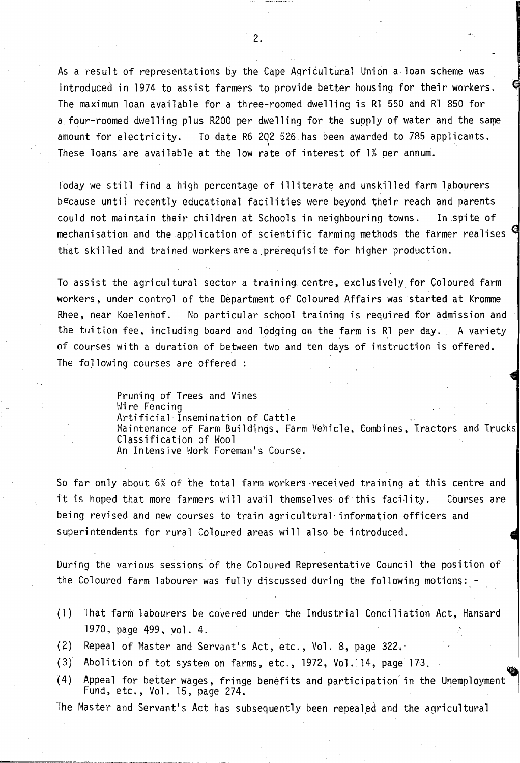As a result of represemtations by the Cqpe Agricultural Union a loan scheme was introduced in 1974 to assist farmers to provide better housing for their workers. The maximum loan available for a three-roomed dwelling is Rl 550 and Rl 850 for a four-roomed dwelling plus R200 per dwelling for the supply of water and the same amount for electricity. To date R6 202 526 has been awarded to 785 applicants. These loans are available at the low rate of interest of 1% per annum.

Today we still find a high percentage of illiterate and unskilled farm labourers because until recently educational facilities were beyond their reach and parents could not maintain their children at Schools in neighbouring towns. In spite of mechanisation and the application of scientific farming methods the farmer realises that skilled and trained workers are a prerequisite for higher production.

To assist the agricultural sector a training centre, exclusively for Coloured farm workers, under control of the Department of Coloured Affairs was started at Kromme Rhee, near Koelenhof. No particular school training is required for admission and the tuition fee, including board and lodging on the farm is R1 per day. A variety of courses with a duration of between two and ten days of instruction is offered. The following courses are offered:

> Pruning of Trees and Vines Wire Fencing Artificial Insemination of Cattle Maintenance of Farm Buildings, Farm Vehicle, Combines, Tractors and Trucks Classification of Wool An Intensive Work Foreman's Course.

So far only about 6% of the total farm workers-received training at this centre and it is hoped that more farmers will avail themselves of this facility. Courses are being revised and new courses to train agricultural information officers and superintendents for rural Coloured areas will also be introduced.

During the various sessions of the Coloured Representative Council the position of the Coloured farm labourer was fully discussed during the following motions: -

- (1) That farm labourers be covered under the Industrial Conciliation Act, Hansard 1970. page 499. vol. 4.
- (2) Repeal of Master and Servant's Act, etc., Vol. 8, page 322.-
- $(3)$  Abolition of tot system on farms, etc., 1972, Vol. 14, page 173.
- (4) Appeal for better wages, fringe benefits and participation' in the Unemployment Fund, etc., Vol. 15, page 274.

The Master and Servant's Act has subsequently been repealed and the agricultural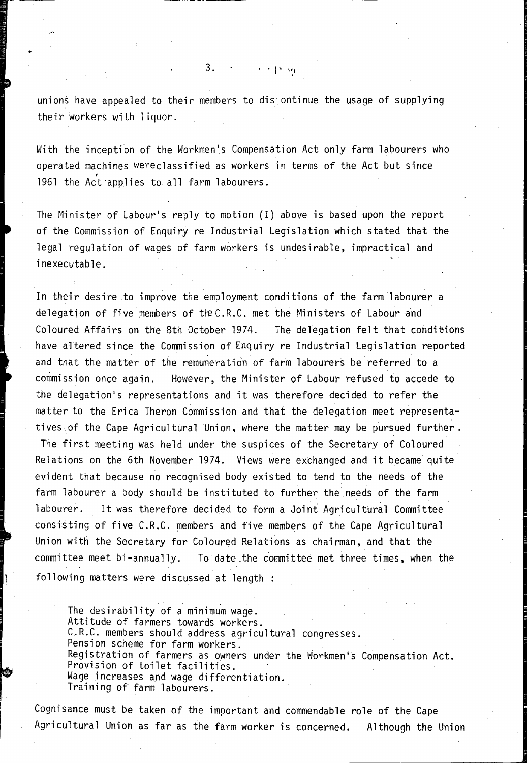unions have appealed to their members to dis ontinue the usage of supplying their workers with liquor.

 $\cdots$   $\uparrow$   $\vee$ 

 $3.$ 

With the inception of the Workmen's Compensation Act only farm labourers who operated machines wereclassified as workers in terms of the Act but since 1961 the Act applies to all farm labourers.

The Minister of Labour's reply to motion (I) above is based upon the report of the Commission of Enquiry re Industrial Legislation which stated that the legal regulation of wages of farm workers is undesirable, impractical and inexecutable.

In their desire to improve the employment conditions of the farm labourer a delegation of five members of the C.R.C. met the Ministers of Labour and Coloured Affairs on the 8th October 1974. The delegation felt that conditions have altered since the Commission of Enquiry re Industrial Legislation reported and that the matter of the remuneration of farm labourers be referred to a commission once again. However, the Minister of Labour refused to accede to the delegation's representations and it was therefore decided to refer the matter to the Erica Theron Commission and that the delegation meet representatives of the Cape Agricultural Union, where the matter may be pursued further.

The first meeting was held under the suspices of the Secretary of Coloured Relations on the 6th November 1974. Views were exchanged and it became quite evident that because no recognised body existed to tend to the needs of the farm labourer a body should be instituted to further the needs of the farm labourer. It was therefore decided to form a Joint Agricultural Committee consisting of five C.R.C. members and five members of the Cape Agricultural Union with the Secretary for Coloured Relations as chairman, and that the committee meet bi-annually. To date the committee met three times, when the following matters were discussed at length :

The desirability of a minimum wage. Attitude of farmers towards workers. C.R.C. members should address agricultural congresses. Pension scheme for farm workers. Registration of farmers as owners under the Workmen's Compensation Act. Provision of toilet facilities. Wage increases and wage differentiation. Training of farm labourers.

Cognisance must be taken of the important and commendable role of the Cape Agricultural Union as far as the farm worker is concerned. Although the Union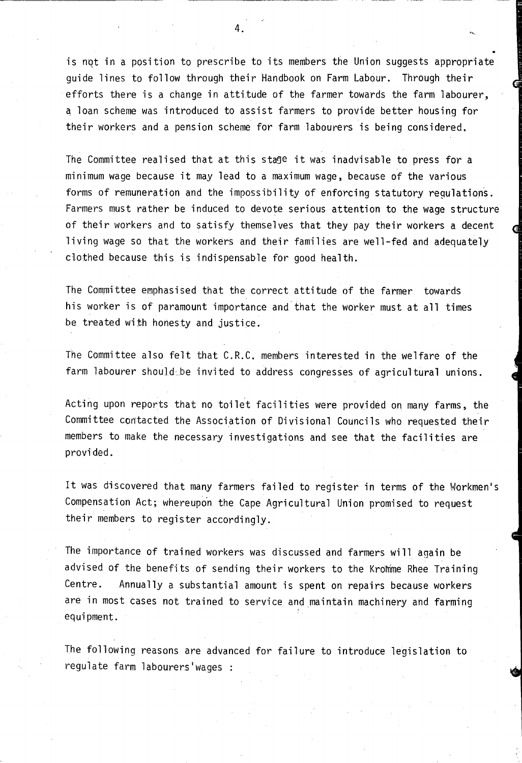is not in a position to prescribe to its members the Union suggests appropriate quide lines to follow through their Handbook on Farm Labour. Through their efforts there is a change in attitude of the farmer towards the farm labourer, a loan scheme was introduced to assist farmers to provide better housing for their workers and a pension scheme for farm labourers is being considered.

The Committee realised that at this stage it was inadvisable to press for a minimum wage because it may lead to a maximum wage, because of the various forms of remuneration and the impossibility of enforcing statutory regulations. Farmers must rather be induced to devote serious attention to the wage structure of their workers and to satisfy themselves that they pay their workers a decent living wage so that the workers and their families are well-fed and adequately clothed because this is indispensable for good health.

The Committee emphasised that the correct attitude of the farmer towards his worker is of paramount importance and that the worker must at all times be treated with honesty and justice.

The Committee also felt that C.R.C. members interested in the welfare of the farm labourer should be invited to address congresses of agricultural unions.

Acting upon reports that no toilet facilities were provided on many farms, the Committee contacted the Association of Divisional Councils who requested their members to make the necessary investigations and see that the facilities are provided.

It was discovered that many farmers failed to register in terms of the Workmen's Compensation Act; whereupon the Cape Agricultural Union promised to request their members to register accordingly.

The importance of trained workers was discussed and farmers will again be advised of the benefits of sending their workers to the Kromme Rhee Training Centre. Annually a substantial amount is spent on repairs because workers are in most cases not trained to service and maintain machinery and farming equipment.

The following reasons are advanced for failure to introduce legislation to regulate farm labourers'wages :